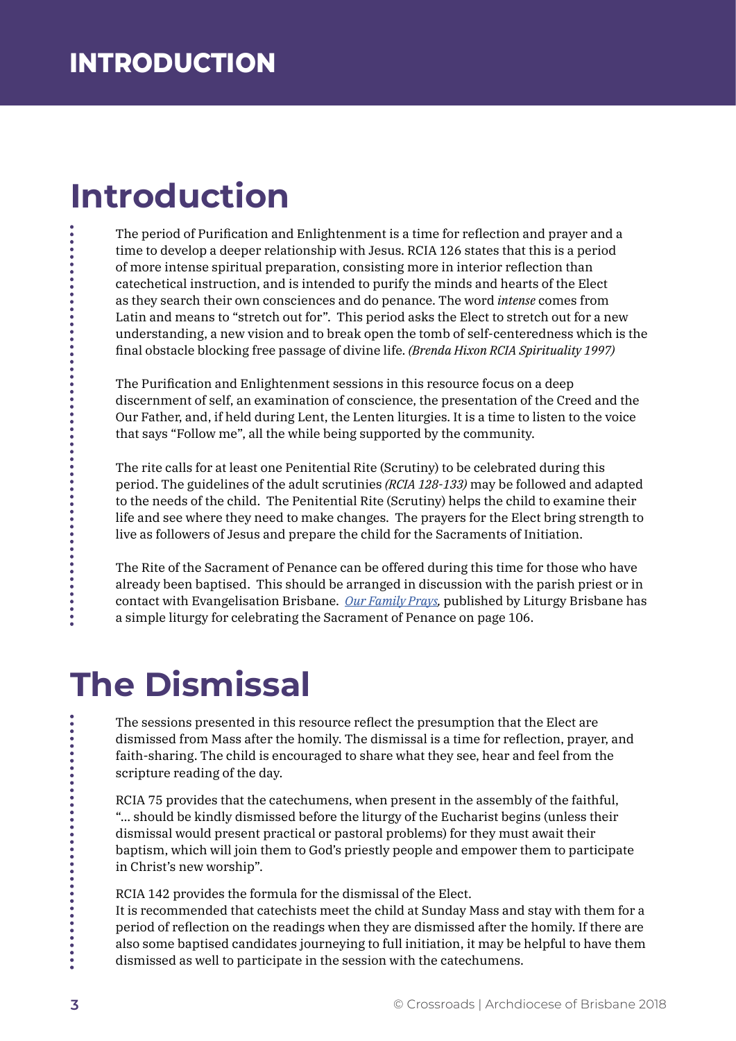## **Introduction**

The period of Purification and Enlightenment is a time for reflection and prayer and a time to develop a deeper relationship with Jesus. RCIA 126 states that this is a period of more intense spiritual preparation, consisting more in interior reflection than catechetical instruction, and is intended to purify the minds and hearts of the Elect as they search their own consciences and do penance. The word *intense* comes from Latin and means to "stretch out for". This period asks the Elect to stretch out for a new understanding, a new vision and to break open the tomb of self-centeredness which is the final obstacle blocking free passage of divine life. *(Brenda Hixon RCIA Spirituality 1997)* 

The Purification and Enlightenment sessions in this resource focus on a deep discernment of self, an examination of conscience, the presentation of the Creed and the Our Father, and, if held during Lent, the Lenten liturgies. It is a time to listen to the voice that says "Follow me", all the while being supported by the community.

The rite calls for at least one Penitential Rite (Scrutiny) to be celebrated during this period. The guidelines of the adult scrutinies *(RCIA 128-133)* may be followed and adapted to the needs of the child. The Penitential Rite (Scrutiny) helps the child to examine their life and see where they need to make changes. The prayers for the Elect bring strength to live as followers of Jesus and prepare the child for the Sacraments of Initiation.

The Rite of the Sacrament of Penance can be offered during this time for those who have already been baptised. This should be arranged in discussion with the parish priest or in contact with Evangelisation Brisbane. *Our Family Prays,* published by Liturgy Brisbane has a simple liturgy for celebrating the Sacrament of Penance on page 106.

## **The Dismissal**

The sessions presented in this resource reflect the presumption that the Elect are dismissed from Mass after the homily. The dismissal is a time for reflection, prayer, and faith-sharing. The child is encouraged to share what they see, hear and feel from the scripture reading of the day.

RCIA 75 provides that the catechumens, when present in the assembly of the faithful, "... should be kindly dismissed before the liturgy of the Eucharist begins (unless their dismissal would present practical or pastoral problems) for they must await their baptism, which will join them to God's priestly people and empower them to participate in Christ's new worship".

RCIA 142 provides the formula for the dismissal of the Elect.

It is recommended that catechists meet the child at Sunday Mass and stay with them for a period of reflection on the readings when they are dismissed after the homily. If there are also some baptised candidates journeying to full initiation, it may be helpful to have them dismissed as well to participate in the session with the catechumens.

 $\ddot{\bullet}$